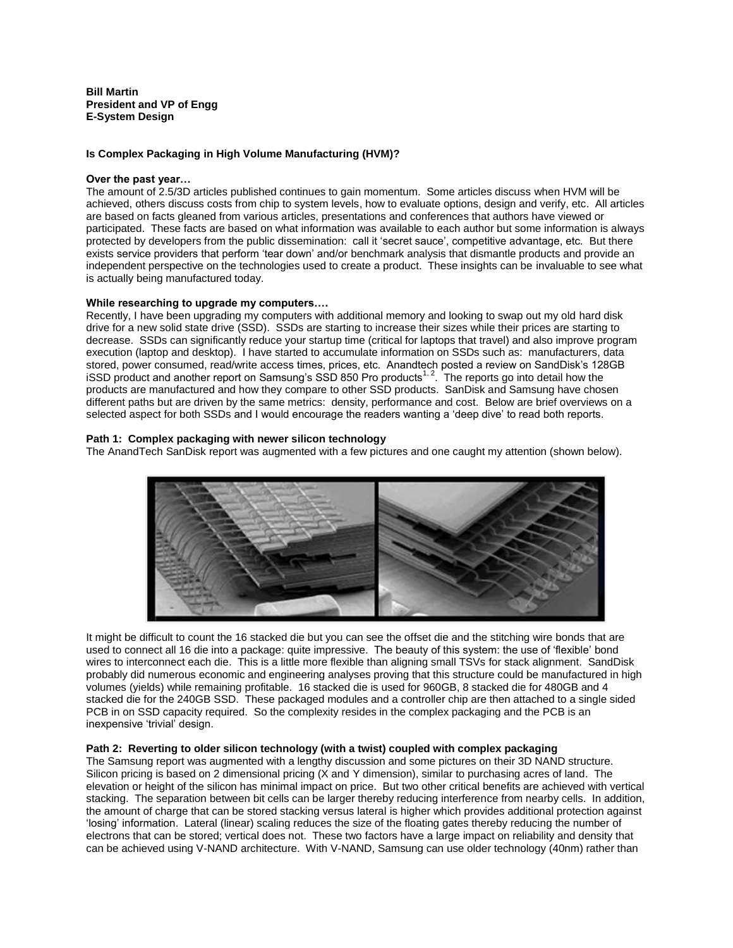**Bill Martin President and VP of Engg E-System Design**

# **Is Complex Packaging in High Volume Manufacturing (HVM)?**

### **Over the past year…**

The amount of 2.5/3D articles published continues to gain momentum. Some articles discuss when HVM will be achieved, others discuss costs from chip to system levels, how to evaluate options, design and verify, etc. All articles are based on facts gleaned from various articles, presentations and conferences that authors have viewed or participated. These facts are based on what information was available to each author but some information is always protected by developers from the public dissemination: call it 'secret sauce', competitive advantage, etc. But there exists service providers that perform 'tear down' and/or benchmark analysis that dismantle products and provide an independent perspective on the technologies used to create a product. These insights can be invaluable to see what is actually being manufactured today.

## **While researching to upgrade my computers….**

Recently, I have been upgrading my computers with additional memory and looking to swap out my old hard disk drive for a new solid state drive (SSD). SSDs are starting to increase their sizes while their prices are starting to decrease. SSDs can significantly reduce your startup time (critical for laptops that travel) and also improve program execution (laptop and desktop). I have started to accumulate information on SSDs such as: manufacturers, data stored, power consumed, read/write access times, prices, etc. Anandtech posted a review on SandDisk's 128GB iSSD product and another report on Samsung's SSD 850 Pro products<sup>1, 2</sup>. The reports go into detail how the products are manufactured and how they compare to other SSD products. SanDisk and Samsung have chosen different paths but are driven by the same metrics: density, performance and cost. Below are brief overviews on a selected aspect for both SSDs and I would encourage the readers wanting a 'deep dive' to read both reports.

## **Path 1: Complex packaging with newer silicon technology**

The AnandTech SanDisk report was augmented with a few pictures and one caught my attention (shown below).



It might be difficult to count the 16 stacked die but you can see the offset die and the stitching wire bonds that are used to connect all 16 die into a package: quite impressive. The beauty of this system: the use of 'flexible' bond wires to interconnect each die. This is a little more flexible than aligning small TSVs for stack alignment. SandDisk probably did numerous economic and engineering analyses proving that this structure could be manufactured in high volumes (yields) while remaining profitable. 16 stacked die is used for 960GB, 8 stacked die for 480GB and 4 stacked die for the 240GB SSD. These packaged modules and a controller chip are then attached to a single sided PCB in on SSD capacity required. So the complexity resides in the complex packaging and the PCB is an inexpensive 'trivial' design.

# **Path 2: Reverting to older silicon technology (with a twist) coupled with complex packaging**

The Samsung report was augmented with a lengthy discussion and some pictures on their 3D NAND structure. Silicon pricing is based on 2 dimensional pricing (X and Y dimension), similar to purchasing acres of land. The elevation or height of the silicon has minimal impact on price. But two other critical benefits are achieved with vertical stacking. The separation between bit cells can be larger thereby reducing interference from nearby cells. In addition, the amount of charge that can be stored stacking versus lateral is higher which provides additional protection against 'losing' information. Lateral (linear) scaling reduces the size of the floating gates thereby reducing the number of electrons that can be stored; vertical does not. These two factors have a large impact on reliability and density that can be achieved using V-NAND architecture. With V-NAND, Samsung can use older technology (40nm) rather than